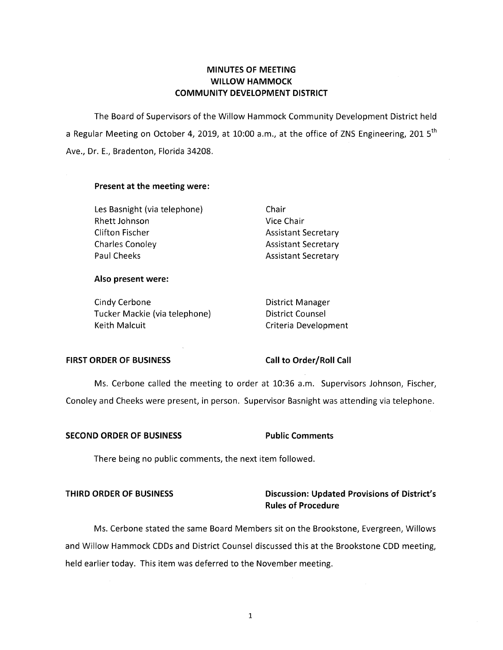# **MINUTES OF MEETING WILLOW HAMMOCK COMMUNITY DEVELOPMENT DISTRICT**

The Board of Supervisors of the Willow Hammock Community Development District held a Regular Meeting on October 4, 2019, at 10:00 a.m., at the office of ZNS Engineering, 201  $5<sup>th</sup>$ Ave., Dr. E., Bradenton, Florida 34208.

### **Present at the meeting were:**

Les Basnight (via telephone) Chair Rhett Johnson Vice Chair Clifton Fischer **Assistant Secretary** Charles Conoley **Assistant Secretary** Paul Cheeks **Assistant Secretary** 

#### **Also present were:**

Cindy Cerbone **District Manager** Tucker Mackie (via telephone) District Counsel Keith Malcuit **Criteria Development** 

### FIRST ORDER OF BUSINESS Call to Order/Roll Call

Ms. Cerbone called the meeting to order at 10:36 a.m. Supervisors Johnson, Fischer, Conoley and Cheeks were present, in person. Supervisor Basnight was attending via telephone.

### **SECOND ORDER OF BUSINESS FOR Public Comments**

There being no public comments, the next item followed.

# **THIRD ORDER OF BUSINESS Discussion: Updated Provisions of District's Rules of Procedure**

Ms. Cerbone stated the same Board Members sit on the Brookstone, Evergreen, Willows and Willow Hammock CDDs and District Counsel discussed this at the Brookstone CDD meeting, held earlier today. This item was deferred to the November meeting.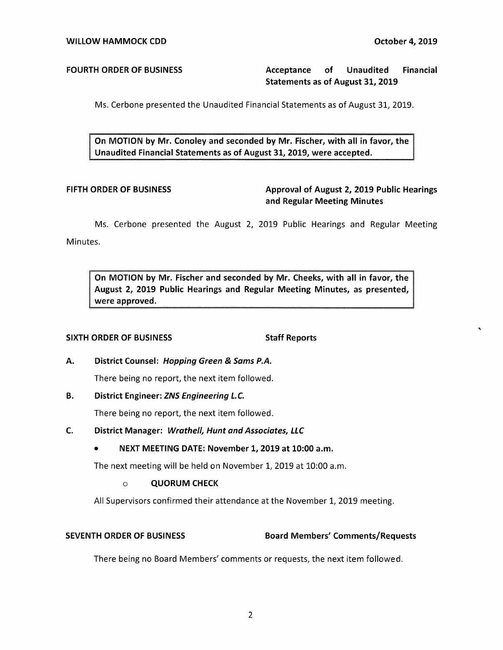# **FOURTH ORDER OF BUSINESS Acceptance of Unaudited Financial Statements as of August 31, 2019**

Ms. Cerbone presented the Unaudited Financial Statements as of August 31, 2019.

**On MOTION by Mr. Conoley and seconded by Mr. Fischer, with all in favor, the Unaudited Financial Statements as of August 31, 2019, were accepted.** 

# FIFTH ORDER OF BUSINESS **Approval of August 2, 2019 Public Hearings and Regular Meeting Minutes**

Ms. Cerbone presented the August 2, 2019 Public Hearings and Regular Meeting Minutes.

**On MOTION by Mr. Fischer and seconded by Mr. Cheeks, with all in favor, the August 2, 2019 Public Hearings and Regular Meeting Minutes, as presented, were approved.** 

## **SIXTH ORDER OF BUSINESS STATES STAFF Reports**

## **A. District Counsel: Hopping Green** & **Sams P.A.**

There being no report, the next item followed.

## **B. District Engineer: ZNS Engineering L.C.**

There being no report, the next item followed.

## **C. District Manager: Wrathe/1, Hunt and Associates, LLC**

## • **NEXT MEETING DATE: November 1, 2019 at 10:00 a.m.**

The next meeting will be held on November 1, 2019 at 10:00 a.m.

## o **QUORUM CHECK**

All Supervisors confirmed their attendance at the November 1, 2019 meeting.

## **SEVENTH ORDER OF BUSINESS Board Members' Comments/Requests**

There being no Board Members' comments or requests, the next item followed.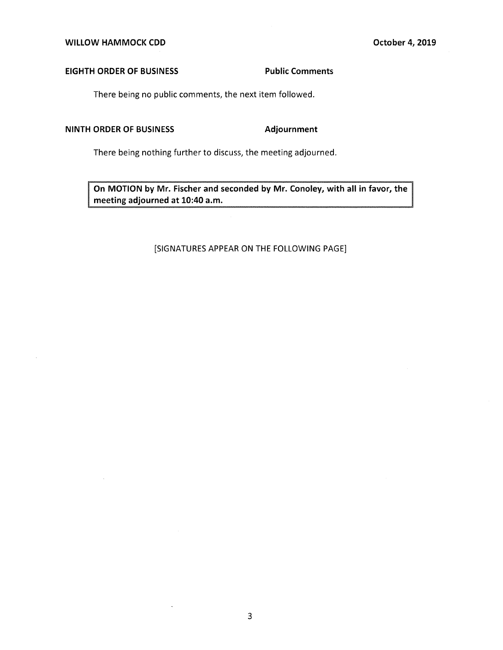### **EIGHTH ORDER OF BUSINESS Public Comments**

There being no public comments, the next item followed.

### **NINTH ORDER OF BUSINESS Adjournment**

There being nothing further to discuss, the meeting adjourned.

**On MOTION by Mr. Fischer and seconded by Mr. Conoley, with all in favor, the meeting adjourned at 10:40 a.m.** 

### [SIGNATURES APPEAR ON THE FOLLOWING PAGE]